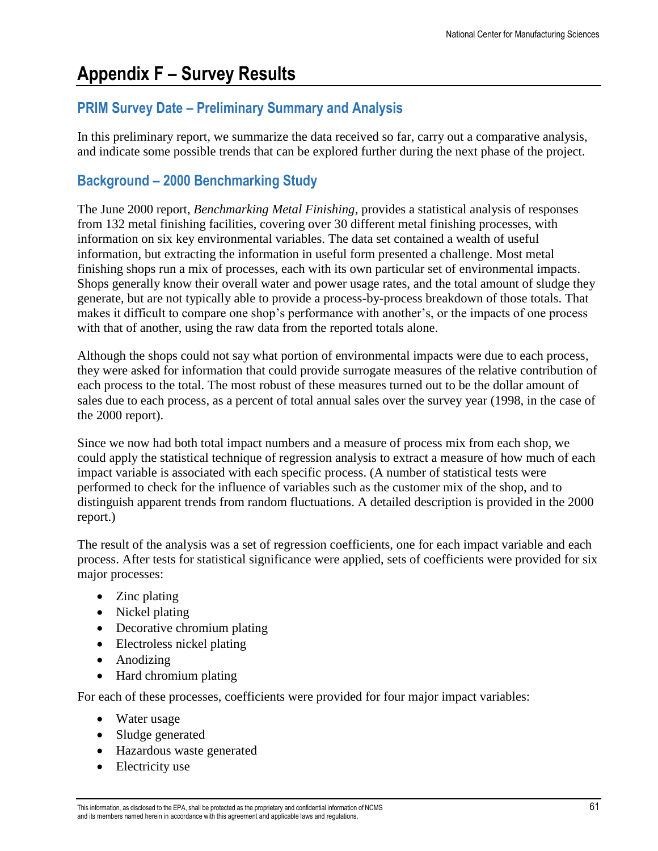# **Appendix F – Survey Results**

# **PRIM Survey Date – Preliminary Summary and Analysis**

In this preliminary report, we summarize the data received so far, carry out a comparative analysis, and indicate some possible trends that can be explored further during the next phase of the project.

# **Background – 2000 Benchmarking Study**

The June 2000 report, *Benchmarking Metal Finishing,* provides a statistical analysis of responses from 132 metal finishing facilities, covering over 30 different metal finishing processes, with information on six key environmental variables. The data set contained a wealth of useful information, but extracting the information in useful form presented a challenge. Most metal finishing shops run a mix of processes, each with its own particular set of environmental impacts. Shops generally know their overall water and power usage rates, and the total amount of sludge they generate, but are not typically able to provide a process-by-process breakdown of those totals. That makes it difficult to compare one shop's performance with another's, or the impacts of one process with that of another, using the raw data from the reported totals alone.

Although the shops could not say what portion of environmental impacts were due to each process, they were asked for information that could provide surrogate measures of the relative contribution of each process to the total. The most robust of these measures turned out to be the dollar amount of sales due to each process, as a percent of total annual sales over the survey year (1998, in the case of the 2000 report).

Since we now had both total impact numbers and a measure of process mix from each shop, we could apply the statistical technique of regression analysis to extract a measure of how much of each impact variable is associated with each specific process. (A number of statistical tests were performed to check for the influence of variables such as the customer mix of the shop, and to distinguish apparent trends from random fluctuations. A detailed description is provided in the 2000 report.)

The result of the analysis was a set of regression coefficients, one for each impact variable and each process. After tests for statistical significance were applied, sets of coefficients were provided for six major processes:

- Zinc plating
- Nickel plating
- Decorative chromium plating
- Electroless nickel plating
- Anodizing
- Hard chromium plating

For each of these processes, coefficients were provided for four major impact variables:

- Water usage
- Sludge generated
- Hazardous waste generated
- Electricity use

This information, as disclosed to the EPA, shall be protected as the proprietary and confidential information of NCMS 61 and its members named herein in accordance with this agreement and applicable laws and regulations.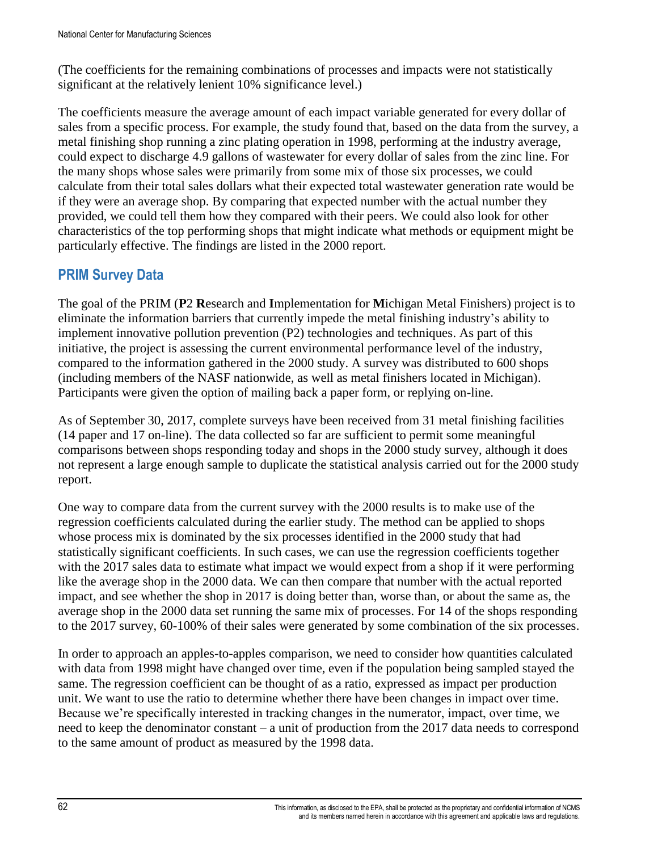(The coefficients for the remaining combinations of processes and impacts were not statistically significant at the relatively lenient 10% significance level.)

The coefficients measure the average amount of each impact variable generated for every dollar of sales from a specific process. For example, the study found that, based on the data from the survey, a metal finishing shop running a zinc plating operation in 1998, performing at the industry average, could expect to discharge 4.9 gallons of wastewater for every dollar of sales from the zinc line. For the many shops whose sales were primarily from some mix of those six processes, we could calculate from their total sales dollars what their expected total wastewater generation rate would be if they were an average shop. By comparing that expected number with the actual number they provided, we could tell them how they compared with their peers. We could also look for other characteristics of the top performing shops that might indicate what methods or equipment might be particularly effective. The findings are listed in the 2000 report.

### **PRIM Survey Data**

The goal of the PRIM (**P**2 **R**esearch and **I**mplementation for **M**ichigan Metal Finishers) project is to eliminate the information barriers that currently impede the metal finishing industry's ability to implement innovative pollution prevention (P2) technologies and techniques. As part of this initiative, the project is assessing the current environmental performance level of the industry, compared to the information gathered in the 2000 study. A survey was distributed to 600 shops (including members of the NASF nationwide, as well as metal finishers located in Michigan). Participants were given the option of mailing back a paper form, or replying on-line.

As of September 30, 2017, complete surveys have been received from 31 metal finishing facilities (14 paper and 17 on-line). The data collected so far are sufficient to permit some meaningful comparisons between shops responding today and shops in the 2000 study survey, although it does not represent a large enough sample to duplicate the statistical analysis carried out for the 2000 study report.

One way to compare data from the current survey with the 2000 results is to make use of the regression coefficients calculated during the earlier study. The method can be applied to shops whose process mix is dominated by the six processes identified in the 2000 study that had statistically significant coefficients. In such cases, we can use the regression coefficients together with the 2017 sales data to estimate what impact we would expect from a shop if it were performing like the average shop in the 2000 data. We can then compare that number with the actual reported impact, and see whether the shop in 2017 is doing better than, worse than, or about the same as, the average shop in the 2000 data set running the same mix of processes. For 14 of the shops responding to the 2017 survey, 60-100% of their sales were generated by some combination of the six processes.

In order to approach an apples-to-apples comparison, we need to consider how quantities calculated with data from 1998 might have changed over time, even if the population being sampled stayed the same. The regression coefficient can be thought of as a ratio, expressed as impact per production unit. We want to use the ratio to determine whether there have been changes in impact over time. Because we're specifically interested in tracking changes in the numerator, impact, over time, we need to keep the denominator constant – a unit of production from the 2017 data needs to correspond to the same amount of product as measured by the 1998 data.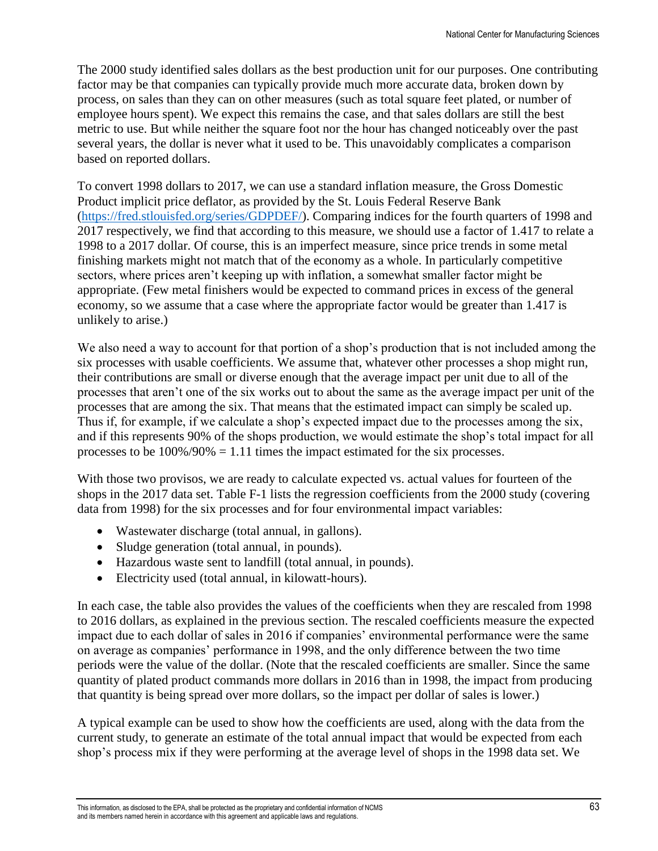The 2000 study identified sales dollars as the best production unit for our purposes. One contributing factor may be that companies can typically provide much more accurate data, broken down by process, on sales than they can on other measures (such as total square feet plated, or number of employee hours spent). We expect this remains the case, and that sales dollars are still the best metric to use. But while neither the square foot nor the hour has changed noticeably over the past several years, the dollar is never what it used to be. This unavoidably complicates a comparison based on reported dollars.

To convert 1998 dollars to 2017, we can use a standard inflation measure, the Gross Domestic Product implicit price deflator, as provided by the St. Louis Federal Reserve Bank [\(https://fred.stlouisfed.org/series/GDPDEF/\)](https://fred.stlouisfed.org/series/GDPDEF/). Comparing indices for the fourth quarters of 1998 and 2017 respectively, we find that according to this measure, we should use a factor of 1.417 to relate a 1998 to a 2017 dollar. Of course, this is an imperfect measure, since price trends in some metal finishing markets might not match that of the economy as a whole. In particularly competitive sectors, where prices aren't keeping up with inflation, a somewhat smaller factor might be appropriate. (Few metal finishers would be expected to command prices in excess of the general economy, so we assume that a case where the appropriate factor would be greater than 1.417 is unlikely to arise.)

We also need a way to account for that portion of a shop's production that is not included among the six processes with usable coefficients. We assume that, whatever other processes a shop might run, their contributions are small or diverse enough that the average impact per unit due to all of the processes that aren't one of the six works out to about the same as the average impact per unit of the processes that are among the six. That means that the estimated impact can simply be scaled up. Thus if, for example, if we calculate a shop's expected impact due to the processes among the six, and if this represents 90% of the shops production, we would estimate the shop's total impact for all processes to be  $100\%/90\% = 1.11$  times the impact estimated for the six processes.

With those two provisos, we are ready to calculate expected vs. actual values for fourteen of the shops in the 2017 data set. Table F-1 lists the regression coefficients from the 2000 study (covering data from 1998) for the six processes and for four environmental impact variables:

- Wastewater discharge (total annual, in gallons).
- Sludge generation (total annual, in pounds).
- Hazardous waste sent to landfill (total annual, in pounds).
- Electricity used (total annual, in kilowatt-hours).

In each case, the table also provides the values of the coefficients when they are rescaled from 1998 to 2016 dollars, as explained in the previous section. The rescaled coefficients measure the expected impact due to each dollar of sales in 2016 if companies' environmental performance were the same on average as companies' performance in 1998, and the only difference between the two time periods were the value of the dollar. (Note that the rescaled coefficients are smaller. Since the same quantity of plated product commands more dollars in 2016 than in 1998, the impact from producing that quantity is being spread over more dollars, so the impact per dollar of sales is lower.)

A typical example can be used to show how the coefficients are used, along with the data from the current study, to generate an estimate of the total annual impact that would be expected from each shop's process mix if they were performing at the average level of shops in the 1998 data set. We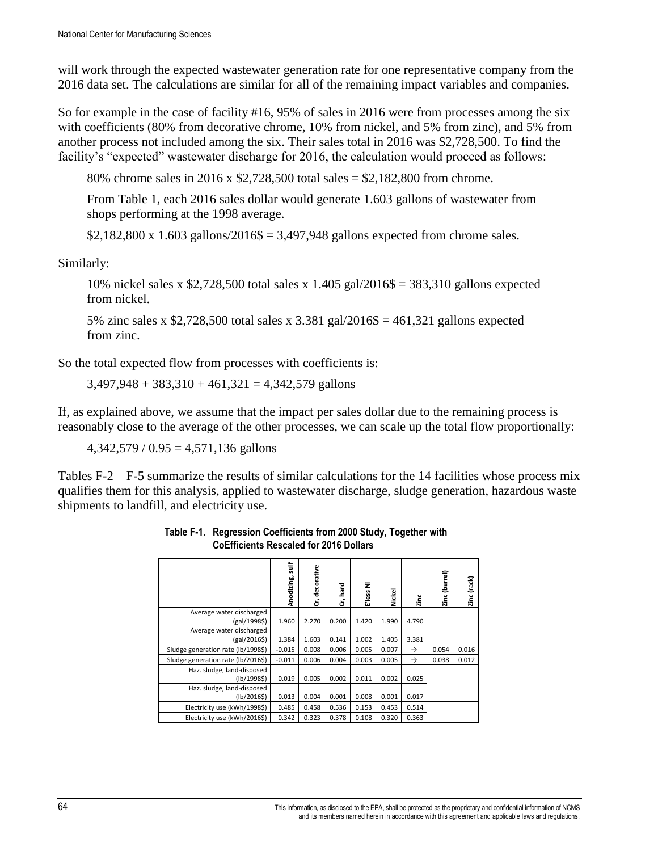will work through the expected wastewater generation rate for one representative company from the 2016 data set. The calculations are similar for all of the remaining impact variables and companies.

So for example in the case of facility #16, 95% of sales in 2016 were from processes among the six with coefficients (80% from decorative chrome, 10% from nickel, and 5% from zinc), and 5% from another process not included among the six. Their sales total in 2016 was \$2,728,500. To find the facility's "expected" wastewater discharge for 2016, the calculation would proceed as follows:

80% chrome sales in 2016 x \$2,728,500 total sales = \$2,182,800 from chrome.

From Table 1, each 2016 sales dollar would generate 1.603 gallons of wastewater from shops performing at the 1998 average.

\$2,182,800 x 1.603 gallons/2016\$ = 3,497,948 gallons expected from chrome sales.

Similarly:

10% nickel sales x \$2,728,500 total sales x 1.405 gal/2016\$ = 383,310 gallons expected from nickel.

5% zinc sales x \$2,728,500 total sales x  $3.381$  gal $/2016$ \$ = 461,321 gallons expected from zinc.

So the total expected flow from processes with coefficients is:

 $3,497,948 + 383,310 + 461,321 = 4,342,579$  gallons

If, as explained above, we assume that the impact per sales dollar due to the remaining process is reasonably close to the average of the other processes, we can scale up the total flow proportionally:

 $4,342,579 / 0.95 = 4,571,136$  gallons

Tables F-2 – F-5 summarize the results of similar calculations for the 14 facilities whose process mix qualifies them for this analysis, applied to wastewater discharge, sludge generation, hazardous waste shipments to landfill, and electricity use.

|                                           | ilir<br>Anodizing, | decorative<br>ຮົ | hard<br>Ġ | ž<br>E'less | Nickel | Zinc          | (barrel)<br>Zinc | Zinc (rack) |
|-------------------------------------------|--------------------|------------------|-----------|-------------|--------|---------------|------------------|-------------|
| Average water discharged<br>(gal/1998\$)  | 1.960              | 2.270            | 0.200     | 1.420       | 1.990  | 4.790         |                  |             |
| Average water discharged<br>(gal/2016\$)  | 1.384              | 1.603            | 0.141     | 1.002       | 1.405  | 3.381         |                  |             |
| Sludge generation rate (lb/1998\$)        | $-0.015$           | 0.008            | 0.006     | 0.005       | 0.007  | $\rightarrow$ | 0.054            | 0.016       |
| Sludge generation rate (lb/2016\$)        | $-0.011$           | 0.006            | 0.004     | 0.003       | 0.005  | $\rightarrow$ | 0.038            | 0.012       |
| Haz. sludge, land-disposed<br>(lb/1998\$) | 0.019              | 0.005            | 0.002     | 0.011       | 0.002  | 0.025         |                  |             |
| Haz. sludge, land-disposed<br>(lb/20165)  | 0.013              | 0.004            | 0.001     | 0.008       | 0.001  | 0.017         |                  |             |
| Electricity use (kWh/1998\$)              | 0.485              | 0.458            | 0.536     | 0.153       | 0.453  | 0.514         |                  |             |
| Electricity use (kWh/2016\$)              | 0.342              | 0.323            | 0.378     | 0.108       | 0.320  | 0.363         |                  |             |

**Table F-1. Regression Coefficients from 2000 Study, Together with CoEfficients Rescaled for 2016 Dollars**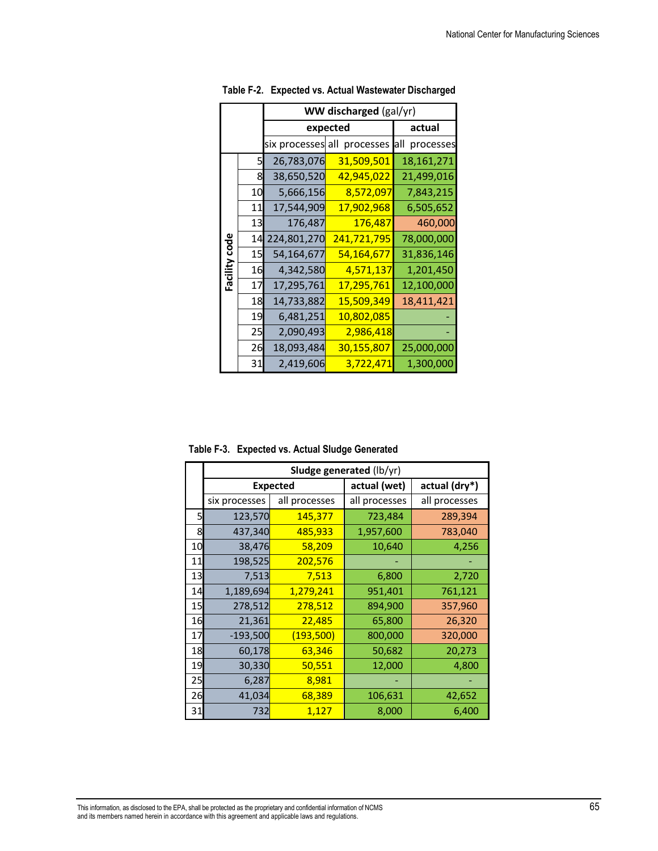|               |    | WW discharged (gal/yr) |                             |                  |  |  |  |
|---------------|----|------------------------|-----------------------------|------------------|--|--|--|
|               |    | expected               | actual                      |                  |  |  |  |
|               |    |                        | six processes all processes | processes<br>all |  |  |  |
|               | 5  | 26,783,076             | 31,509,501                  | 18,161,271       |  |  |  |
|               | 8  | 38,650,520             | <u>42,945,022</u>           | 21,499,016       |  |  |  |
|               | 10 | 5,666,156              | 8,572,097                   | 7,843,215        |  |  |  |
|               | 11 | 17,544,909             | 17,902,968                  | 6,505,652        |  |  |  |
|               | 13 | 176,487                | <b>176,487</b>              | 460,000          |  |  |  |
|               | 14 | 224,801,270            | 241,721,795                 | 78,000,000       |  |  |  |
| Facility code | 15 | 54,164,677             | <u>54,164,677</u>           | 31,836,146       |  |  |  |
|               | 16 | 4,342,580              | 4,571,137                   | 1,201,450        |  |  |  |
|               | 17 | 17,295,761             | 17,295,761                  | 12,100,000       |  |  |  |
|               | 18 | 14,733,882             | 15,509,349                  | 18,411,421       |  |  |  |
|               | 19 | 6,481,251              | 10,802,085                  |                  |  |  |  |
|               | 25 | 2,090,493              | 2,986,418                   |                  |  |  |  |
|               | 26 | 18,093,484             | <u>30,155,807</u>           | 25,000,000       |  |  |  |
|               | 31 | 2,419,606              | 3,722,471                   | 1,300,000        |  |  |  |

**Table F-2. Expected vs. Actual Wastewater Discharged**

**Table F-3. Expected vs. Actual Sludge Generated**

|    | Sludge generated (lb/yr) |                  |               |               |  |  |
|----|--------------------------|------------------|---------------|---------------|--|--|
|    | <b>Expected</b>          |                  | actual (wet)  | actual (dry*) |  |  |
|    | six processes            | all processes    | all processes | all processes |  |  |
| 5  | 123,570                  | 145,377          | 723,484       | 289,394       |  |  |
| 8  | 437,340                  | 485,933          | 1,957,600     | 783,040       |  |  |
| 10 | 38,476                   | 58,209           | 10,640        | 4,256         |  |  |
| 11 | 198,525                  | 202,576          |               |               |  |  |
| 13 | <b>7,513</b>             | 7,513            | 6,800         | 2,720         |  |  |
| 14 | 1,189,694                | 1,279,241        | 951,401       | 761,121       |  |  |
| 15 | 278,512                  | 278,512          | 894,900       | 357,960       |  |  |
| 16 | 21,361                   | 22,485           | 65,800        | 26,320        |  |  |
| 17 | $-193,500$               | <u>(193,500)</u> | 800,000       | 320,000       |  |  |
| 18 | 60,178                   | 63,346           | 50,682        | 20,273        |  |  |
| 19 | 30,330                   | 50,551           | 12,000        | 4,800         |  |  |
| 25 | 6,287                    | 8,981            |               |               |  |  |
| 26 | 41,034                   | 68,389           | 106,631       | 42,652        |  |  |
| 31 | <b>732</b>               | 1,127            | 8,000         | 6,400         |  |  |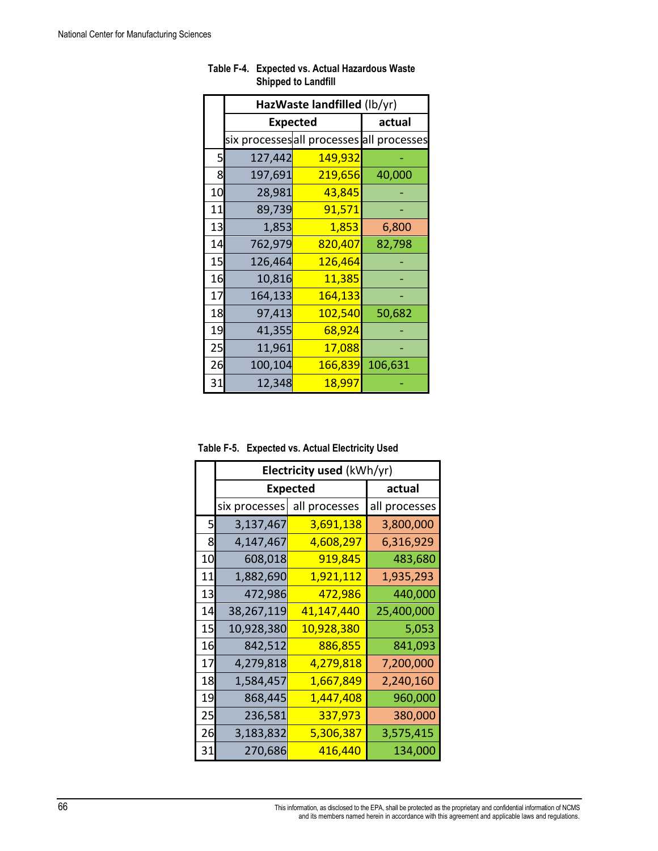|    | HazWaste landfilled (lb/yr)               |         |         |  |  |  |
|----|-------------------------------------------|---------|---------|--|--|--|
|    | <b>Expected</b>                           | actual  |         |  |  |  |
|    | six processes all processes all processes |         |         |  |  |  |
| 5  | 127,442                                   | 149,932 |         |  |  |  |
| 8  | 197,691                                   | 219,656 | 40,000  |  |  |  |
| 10 | 28,981                                    | 43,845  |         |  |  |  |
| 11 | 89,739                                    | 91,571  |         |  |  |  |
| 13 | 1,853                                     | 1,853   | 6,800   |  |  |  |
| 14 | 762,979                                   | 820,407 | 82,798  |  |  |  |
| 15 | 126,464                                   | 126,464 |         |  |  |  |
| 16 | 10,816                                    | 11,385  |         |  |  |  |
| 17 | 164,133                                   | 164,133 |         |  |  |  |
| 18 | 97,413                                    | 102,540 | 50,682  |  |  |  |
| 19 | 41,355                                    | 68,924  |         |  |  |  |
| 25 | 11,961                                    | 17,088  |         |  |  |  |
| 26 | 100,104                                   | 166,839 | 106,631 |  |  |  |
| 31 | 12,348                                    | 18,997  |         |  |  |  |

**Table F-4. Expected vs. Actual Hazardous Waste Shipped to Landfill**

**Table F-5. Expected vs. Actual Electricity Used**

|    | Electricity used (kWh/yr) |                             |               |  |  |
|----|---------------------------|-----------------------------|---------------|--|--|
|    | <b>Expected</b>           | actual                      |               |  |  |
|    |                           | six processes all processes | all processes |  |  |
| 5  | 3,137,467                 | 3,691,138                   | 3,800,000     |  |  |
| 8  | 4,147,467                 | 4,608,297                   | 6,316,929     |  |  |
| 10 | 608,018                   | 919,845                     | 483,680       |  |  |
| 11 | 1,882,690                 | 1,921,112                   | 1,935,293     |  |  |
| 13 | 472,986                   | 472,986                     | 440,000       |  |  |
| 14 | 38,267,119                | 41,147,440                  | 25,400,000    |  |  |
| 15 | 10,928,380                | 10,928,380                  | 5,053         |  |  |
| 16 | 842,512                   | 886,855                     | 841,093       |  |  |
| 17 | 4,279,818                 | 4,279,818                   | 7,200,000     |  |  |
| 18 | 1,584,457                 | 1,667,849                   | 2,240,160     |  |  |
| 19 | 868,445                   | 1,447,408                   | 960,000       |  |  |
| 25 | 236,581                   | 337,973                     | 380,000       |  |  |
| 26 | 3,183,832                 | 5,306,387                   | 3,575,415     |  |  |
| 31 | 270,686                   | 416,440                     | 134,000       |  |  |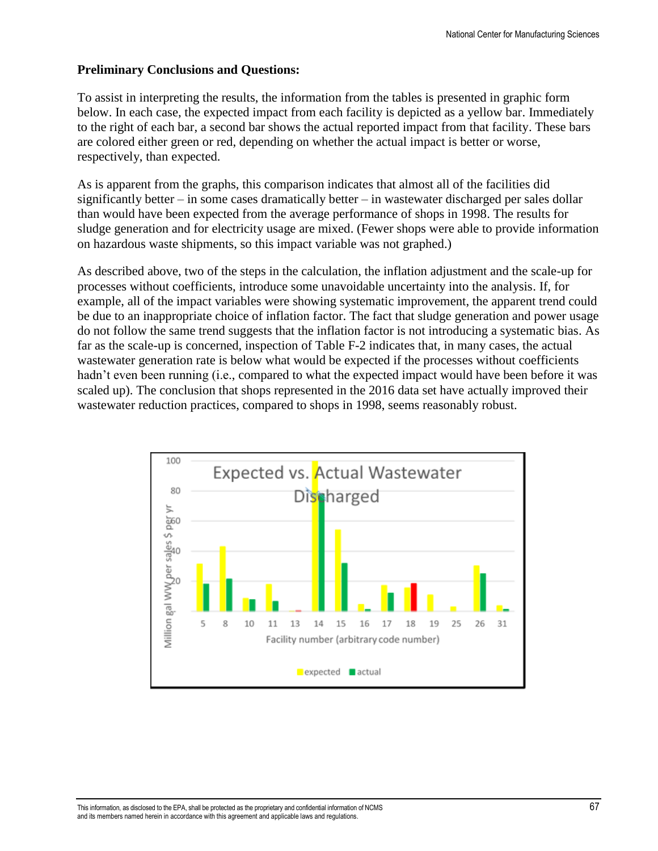#### **Preliminary Conclusions and Questions:**

To assist in interpreting the results, the information from the tables is presented in graphic form below. In each case, the expected impact from each facility is depicted as a yellow bar. Immediately to the right of each bar, a second bar shows the actual reported impact from that facility. These bars are colored either green or red, depending on whether the actual impact is better or worse, respectively, than expected.

As is apparent from the graphs, this comparison indicates that almost all of the facilities did significantly better – in some cases dramatically better – in wastewater discharged per sales dollar than would have been expected from the average performance of shops in 1998. The results for sludge generation and for electricity usage are mixed. (Fewer shops were able to provide information on hazardous waste shipments, so this impact variable was not graphed.)

As described above, two of the steps in the calculation, the inflation adjustment and the scale-up for processes without coefficients, introduce some unavoidable uncertainty into the analysis. If, for example, all of the impact variables were showing systematic improvement, the apparent trend could be due to an inappropriate choice of inflation factor. The fact that sludge generation and power usage do not follow the same trend suggests that the inflation factor is not introducing a systematic bias. As far as the scale-up is concerned, inspection of Table F-2 indicates that, in many cases, the actual wastewater generation rate is below what would be expected if the processes without coefficients hadn't even been running (i.e., compared to what the expected impact would have been before it was scaled up). The conclusion that shops represented in the 2016 data set have actually improved their wastewater reduction practices, compared to shops in 1998, seems reasonably robust.

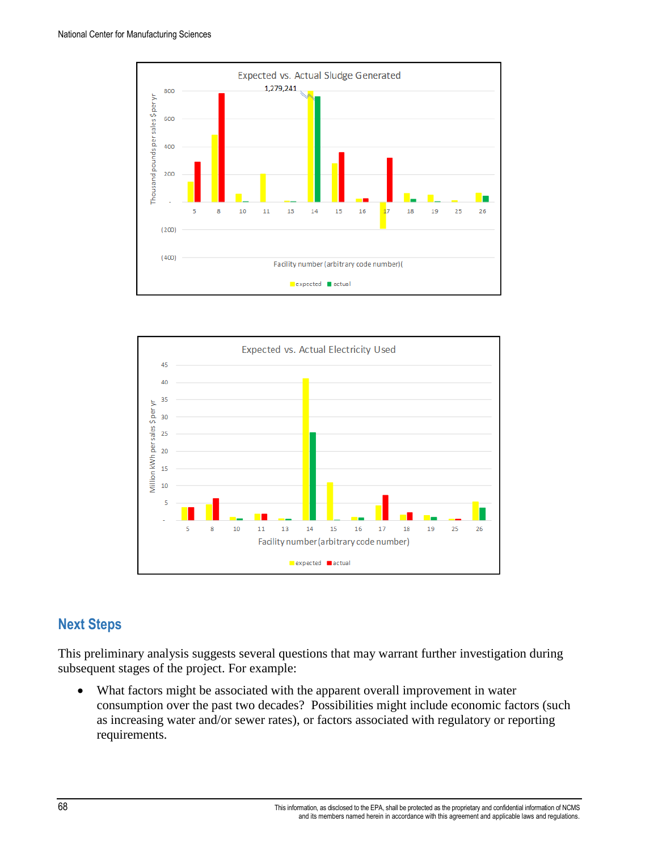



# **Next Steps**

This preliminary analysis suggests several questions that may warrant further investigation during subsequent stages of the project. For example:

• What factors might be associated with the apparent overall improvement in water consumption over the past two decades? Possibilities might include economic factors (such as increasing water and/or sewer rates), or factors associated with regulatory or reporting requirements.